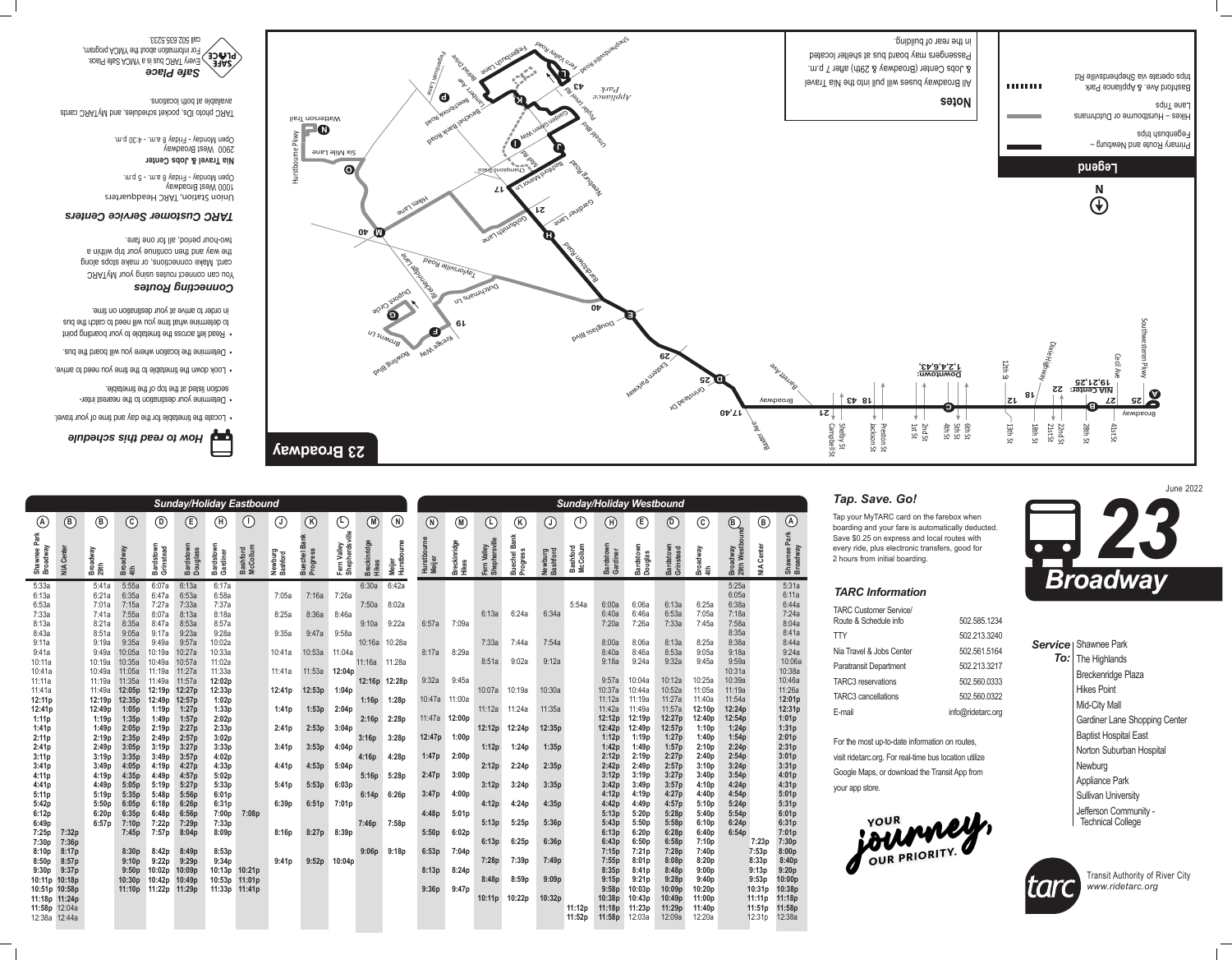| <b>TARC Customer Service/</b> |                   |
|-------------------------------|-------------------|
| Route & Schedule info         | 502.585.1234      |
| TTY                           | 502.213.3240      |
| Nia Travel & Jobs Center      | 502.561.5164      |
| Paratransit Department        | 502.213.3217      |
| <b>TARC3</b> reservations     | 502.560.0333      |
| <b>TARC3</b> cancellations    | 502.560.0322      |
| E-mail                        | info@ridetarc.org |

For the most up-to-date information on routes, visit ridetarc.org. For real-time bus location utilize Google Maps, or download the Transit App from your app store.



### *TARC Information*



 Determine your destination to the nearest inter- • section listed at the top of the timetable.

Read left across the timetable to your boarding point • to determine what time you will need to catch the bus in order to arrive at your destination on time.



|     | <b>Service</b>   Shawnee Park |
|-----|-------------------------------|
| To: | The Highlands                 |
|     | <b>Breckenridge Plaza</b>     |
|     | <b>Hikes Point</b>            |
|     | <b>Mid-City Mall</b>          |
|     | Gardiner Lane Shopping Center |
|     | <b>Baptist Hospital East</b>  |
|     | Norton Suburban Hospital      |
|     | Newburg                       |
|     | <b>Appliance Park</b>         |
|     | <b>Sullivan University</b>    |
|     | Jefferson Community -         |

| Technical College



## *How to read this schedule*

Locate the timetable for the day and time of your travel. •

Look down the timetable to the time you need to arrive. •

Determine the location where you will board the bus. •



#### *Connecting Routes*



You can connect routes using your MyTARC card. Make connections, or make stops along the way and then continue your trip within a two-hour period, all for one fare.

#### *TARC Customer Service Centers*

Union Station, TARC Headquarters 1000 West Broadway Monday - Friday 8 a.m. - 5 p.m. Open

**Nia Travel & Jobs Center** West Broadway 2900 Open Monday - Friday 8 a.m. - 4:30 p.m.

cares ORAT who is alubed as texted and ORAT available at both locations.

> Transit Authority of River City *www.ridetarc.org*



# *Tap. Save. Go!*

Tap your MyTARC card on the farebox when boarding and your fare is automatically deducted. Save \$0.25 on express and local routes with every ride, plus electronic transfers, good for 2 hours from initial boarding.

|                                                                                                                                                                                                                                                                                                                                                                                      |                                  |                                                                                                                                                                                                                                              |                                                                                                                                                                                                                                                                                                      |                                                                                                                                                                                                                                                                                                       | <b>Sunday/Holiday Eastbound</b>                                                                                                                                                                                                                                                                       |                                                                                                                                                                                                                                                                         |                                                          |                                                                                                                               |                                                                                                                               |                                                                                                                               |                                                                                                                                                                                                                                                                                                                                                            |                                                                                                                                    |                                                                                                                               |                                                                                                                              |                                                                                                                                         |                                                                                                                                         |                                                                                                                                         |                             |                                                                                                                                                                                                                                                                                                      | <b>Sunday/Holiday Westbound</b>                                                                                                                                                                                                                                                                        |                                                                                                                                                                                                                                                                                                        |                                                                                                                                                                                                                                                                                                       |                                                                                                                                                                                                                                                       |                                                                                   |                                                                                                                                                                                                                                                                                                                                             |
|--------------------------------------------------------------------------------------------------------------------------------------------------------------------------------------------------------------------------------------------------------------------------------------------------------------------------------------------------------------------------------------|----------------------------------|----------------------------------------------------------------------------------------------------------------------------------------------------------------------------------------------------------------------------------------------|------------------------------------------------------------------------------------------------------------------------------------------------------------------------------------------------------------------------------------------------------------------------------------------------------|-------------------------------------------------------------------------------------------------------------------------------------------------------------------------------------------------------------------------------------------------------------------------------------------------------|-------------------------------------------------------------------------------------------------------------------------------------------------------------------------------------------------------------------------------------------------------------------------------------------------------|-------------------------------------------------------------------------------------------------------------------------------------------------------------------------------------------------------------------------------------------------------------------------|----------------------------------------------------------|-------------------------------------------------------------------------------------------------------------------------------|-------------------------------------------------------------------------------------------------------------------------------|-------------------------------------------------------------------------------------------------------------------------------|------------------------------------------------------------------------------------------------------------------------------------------------------------------------------------------------------------------------------------------------------------------------------------------------------------------------------------------------------------|------------------------------------------------------------------------------------------------------------------------------------|-------------------------------------------------------------------------------------------------------------------------------|------------------------------------------------------------------------------------------------------------------------------|-----------------------------------------------------------------------------------------------------------------------------------------|-----------------------------------------------------------------------------------------------------------------------------------------|-----------------------------------------------------------------------------------------------------------------------------------------|-----------------------------|------------------------------------------------------------------------------------------------------------------------------------------------------------------------------------------------------------------------------------------------------------------------------------------------------|--------------------------------------------------------------------------------------------------------------------------------------------------------------------------------------------------------------------------------------------------------------------------------------------------------|--------------------------------------------------------------------------------------------------------------------------------------------------------------------------------------------------------------------------------------------------------------------------------------------------------|-------------------------------------------------------------------------------------------------------------------------------------------------------------------------------------------------------------------------------------------------------------------------------------------------------|-------------------------------------------------------------------------------------------------------------------------------------------------------------------------------------------------------------------------------------------------------|-----------------------------------------------------------------------------------|---------------------------------------------------------------------------------------------------------------------------------------------------------------------------------------------------------------------------------------------------------------------------------------------------------------------------------------------|
| $\bigcirc$                                                                                                                                                                                                                                                                                                                                                                           | $\bigcirc$                       | $\bigcirc$                                                                                                                                                                                                                                   | $(\mathsf{C}% _{\alpha\beta})_{\alpha\beta}$                                                                                                                                                                                                                                                         | $\bigcirc$                                                                                                                                                                                                                                                                                            | $\big(\mathsf{E}\big)$                                                                                                                                                                                                                                                                                | $\widehat{\mathsf{H}}$                                                                                                                                                                                                                                                  | $\bigcup$                                                | $\bigcirc$                                                                                                                    | $\bigcirc$                                                                                                                    | $\bigoplus$                                                                                                                   | $\left(\!\!\left(\!\!\begin{array}{c}\!0\!\!\\\!0\!\!\\\!0\!\!\\\!0\!\!\\\!0\!\!\\\!0\!\!\\\!0\!\!\\\!0\!\!\\\!0\!\!\\\!0\!\!\\\!0\!\!\\\!0\!\!\\\!0\!\!\\\!0\!\!\\\!0\!\!\\\!0\!\!\\\!0\!\!\\\!0\!\!\\\!0\!\!\\\!0\!\!\\\!0\!\!\\\!0\!\!\\\!0\!\!\\\!0\!\!\\\!0\!\!\\\!0\!\!\\\!0\!\!\\\!0\!\!\\\!0\!\!\\\!0\!\!\\\!0\!\!\\\!0\!\!\\\!0\!\!\\\!0\!\!\\\!$ | $(\mathsf{N})$                                                                                                                     | $\bigcirc$                                                                                                                    | $\left(\mathsf{M}\right)$                                                                                                    | $\bigoplus$                                                                                                                             | $\bigl( \mathsf{k} \bigr)$                                                                                                              | $\bigcup$                                                                                                                               | U                           | $\bigcirc$                                                                                                                                                                                                                                                                                           | $\bigoplus$                                                                                                                                                                                                                                                                                            | $\overline{\mathsf{D}}$                                                                                                                                                                                                                                                                                | $\odot$                                                                                                                                                                                                                                                                                               | $\bigoplus$                                                                                                                                                                                                                                           | $\bigcirc$                                                                        | $\bigcirc$                                                                                                                                                                                                                                                                                                                                  |
| Park<br>Shawnee F<br>Broadway                                                                                                                                                                                                                                                                                                                                                        | Center<br>$\leq$                 | Broadway<br>29th                                                                                                                                                                                                                             | Broadway<br>4th                                                                                                                                                                                                                                                                                      | Bardstown<br>Grinstead                                                                                                                                                                                                                                                                                | Bardstown<br><b>Douglass</b>                                                                                                                                                                                                                                                                          | <b>Bardstown</b><br>ardiner<br>ပ                                                                                                                                                                                                                                        | <b>McCollum</b><br><b>Bashford</b>                       | Newburg<br><b>Bashford</b>                                                                                                    | <b>Bank</b><br>Buechel<br>Progress                                                                                            | Fern Valley<br>Shepherdsville                                                                                                 | <b>Breckinridge</b><br>Hikes                                                                                                                                                                                                                                                                                                                               | ourne<br>Hurstb<br>Meijer                                                                                                          | Hurstbourne<br><b>Meijer</b>                                                                                                  | Breckinridge<br>Hikes                                                                                                        | phersville<br>Valley<br>Fern<br>Shep                                                                                                    | Bank<br>Progress<br><b>Buechel</b>                                                                                                      | Newburg<br>Bashford                                                                                                                     | McCollum<br><b>Bashford</b> | Bardstown<br>Gardiner                                                                                                                                                                                                                                                                                | Bardstown<br><b>Douglas</b>                                                                                                                                                                                                                                                                            | Bardstown<br>Grinstead                                                                                                                                                                                                                                                                                 | Vewpe<br>Βrο<br>4th                                                                                                                                                                                                                                                                                   | Broadway<br>29th Westbour                                                                                                                                                                                                                             | Center<br>$\leq$                                                                  | Park<br>Shawnee F<br>Broadway                                                                                                                                                                                                                                                                                                               |
| 5:33a<br>6:13a<br>6:53a<br>7:33a<br>8:13a<br>8:43a<br>9:11a<br>9:41a<br>10:11a<br>10:41a<br>11:11a<br>11:41a<br>12:11p<br>12:41p<br>1:11p<br>1:41p<br>2:11p<br>2:41p<br>3:11p<br>3:41p<br>4:11p<br>4:41p<br>5:11p<br>5:42p<br>6:12p<br>6:49p<br>7:25p<br>7:30p<br>8:10p<br>8:50p<br>9:30p 9:37p<br>10:11p 10:18p<br>10:51p 10:58p<br>11:18p 11:24p<br>11:58p 12:04a<br>12:38a 12:44a | 7:32p<br>7:36p<br>8:17p<br>8:57p | 5:41a<br>6:21a<br>7:01a<br>7:41a<br>8:21a<br>8:51a<br>9:19a<br>9:49a<br>10:19a<br>10:49a<br>11:19a<br>11:49a<br>12:19p<br>12:49p<br>1:19p<br>1:49p<br>2:19p<br>2:49p<br>3:19p<br>3:49p<br>4:19p<br>4:49p<br>5:19p<br>5:50p<br>6:20p<br>6:57p | 5:55a<br>6:35a<br>7:15a<br>7:55a<br>8:35a<br>9:05a<br>9:35a<br>10:05a<br>10:35a<br>11:05a<br>11:35a<br>12:05p<br>12:35p<br>1:05p<br>1:35p<br>2:05p<br>2:35p<br>3:05p<br>3:35p<br>4:05p<br>4:35p<br>5:05p<br>5:35p<br>6:05p<br>6:35p<br>7:10p<br>7:45p<br>8:30p<br>9:10p<br>9:50p<br>10:30p<br>11:10p | 6:07a<br>6:47a<br>7:27a<br>8:07a<br>8:47a<br>9:17a<br>9:49a<br>10:19a<br>10:49a<br>11:19a<br>11:49a<br>12:19p<br>12:49p<br>1:19p<br>1:49p<br>2:19p<br>2:49p<br>3:19p<br>3:49p<br>4:19p<br>4:49p<br>5:19p<br>5:48p<br>6:18p<br>6:48p<br>7:22p<br>7:57p<br>8:42p<br>9:22p<br>10:02p<br>10:42p<br>11:22p | 6:13a<br>6:53a<br>7:33a<br>8:13a<br>8:53a<br>9:23a<br>9:57a<br>10:27a<br>10:57a<br>11:27a<br>11:57a<br>12:27p<br>12:57p<br>1:27p<br>1:57p<br>2:27p<br>2:57p<br>3:27p<br>3:57p<br>4:27p<br>4:57p<br>5:27p<br>5:56p<br>6:26p<br>6:56p<br>7:29p<br>8:04p<br>8:49p<br>9:29p<br>10:09p<br>10:49p<br>11:29p | 6:17a<br>6:58a<br>7:37a<br>8:18a<br>8:57a<br>9:28a<br>10:02a<br>10:33a<br>11:02a<br>11:33a<br>12:02p<br>12:33p<br>1:02p<br>1:33p<br>2:02p<br>2:33p<br>3:02p<br>3:33p<br>4:02p<br>4:33p<br>5:02p<br>5:33p<br>6:01p<br>6:31p<br>7:00p<br>7:33p<br>8:09p<br>8:53p<br>9:34p | 7:08p<br>10:13p 10:21p<br>10:53p 11:01p<br>11:33p 11:41p | 7:05a<br>8:25a<br>9:35a<br>10:41a<br>11:41a<br>12:41p<br>1:41p<br>2:41p<br>3:41p<br>4:41p<br>5:41p<br>6:39p<br>8:16p<br>9:41p | 7:16a<br>8:36a<br>9:47a<br>10:53a<br>11:53a<br>12:53p<br>1:53p<br>2:53p<br>3:53p<br>4:53p<br>5:53p<br>6:51p<br>8:27p<br>9:52p | 7:26a<br>8:46a<br>9:58a<br>11:04a<br>12:04p<br>1:04p<br>2:04p<br>3:04p<br>4:04p<br>5:04p<br>6:03p<br>7:01p<br>8:39p<br>10:04p | 6:30a<br>7:50a<br>9:10a<br>11:16a<br>1:16p<br>2:16p<br>3:16p<br>4:16p<br>5:16p<br>6:14p<br>7:46p 7:58p<br>9:06p                                                                                                                                                                                                                                            | 6:42a<br>8:02a<br>9:22a<br>10:16a 10:28a<br>11:28a<br>12:16p 12:28p<br>1:28p<br>2:28p<br>3:28p<br>4:28p<br>5:28p<br>6:26p<br>9:18p | 6:57a<br>8:17a<br>9:32a<br>10:47a<br>11:47a<br>12:47p<br>1:47p<br>2:47p<br>3:47p<br>4:48p<br>5:50p<br>6:53p<br>8:13p<br>9:36p | 7:09a<br>8:29a<br>9:45a<br>11:00a<br>12:00p<br>1:00p<br>2:00p<br>3:00p<br>4:00p<br>5:01p<br>6:02p<br>7:04p<br>8:24p<br>9:47p | 6:13a<br>7:33a<br>8:51a<br>10:07a<br>11:12a<br>12:12p<br>1:12p<br>2:12p<br>3:12p<br>4:12p<br>5:13p<br>6:13p<br>7:28p<br>8:48p<br>10:11p | 6:24a<br>7:44a<br>9:02a<br>10:19a<br>11:24a<br>12:24p<br>1:24p<br>2:24p<br>3:24p<br>4:24p<br>5:25p<br>6:25p<br>7:39p<br>8:59p<br>10:22p | 6:34a<br>7:54a<br>9:12a<br>10:30a<br>11:35a<br>12:35p<br>1:35p<br>2:35p<br>3:35p<br>4:35p<br>5:36p<br>6:36p<br>7:49p<br>9:09p<br>10:32p | 5:54a<br>11:12p<br>11:52p   | 6:00a<br>6:40a<br>7:20a<br>8:00a<br>8:40a<br>9:18a<br>9:57a<br>10:37a<br>11:12a<br>11:42a<br>12:12p<br>12:42p<br>1:12p<br>1:42p<br>2:12p<br>2:42p<br>3:12p<br>3:42p<br>4:12p<br>4:42p<br>5:13p<br>5:43p<br>6:13p<br>6:43p<br>7:15p<br>7:55p<br>8:35p<br>9:15p<br>9:58p<br>10:38p<br>11:18p<br>11:58p | 6:06a<br>6:46a<br>7:26a<br>8:06a<br>8:46a<br>9:24a<br>10:04a<br>10:44a<br>11:19a<br>11:49a<br>12:19p<br>12:49p<br>1:19p<br>1:49p<br>2:19p<br>2:49p<br>3:19p<br>3:49p<br>4:19p<br>4:49p<br>5:20p<br>5:50p<br>6:20p<br>6:50p<br>7:21p<br>8:01p<br>8:41p<br>9:21p<br>10:03p<br>10:43p<br>11:23p<br>12:03a | 6:13a<br>6:53a<br>7:33a<br>8:13a<br>8:53a<br>9:32a<br>10:12a<br>10:52a<br>11:27a<br>11:57a<br>12:27p<br>12:57p<br>1:27p<br>1:57p<br>2:27p<br>2:57p<br>3:27p<br>3:57p<br>4:27p<br>4:57p<br>5:28p<br>5:58p<br>6:28p<br>6:58p<br>7:28p<br>8:08p<br>8:48p<br>9:28p<br>10:09p<br>10:49p<br>11:29p<br>12:09a | 6:25a<br>7:05a<br>7:45a<br>8:25a<br>9:05a<br>9:45a<br>10:25a<br>11:05a<br>11:40a<br>12:10p<br>12:40p<br>1:10p<br>1:40p<br>2:10p<br>2:40p<br>3:10p<br>3:40p<br>4:10p<br>4:40p<br>5:10p<br>5:40p<br>6:10p<br>6:40p<br>7:10p<br>7:40p<br>8:20p<br>9:00p<br>9:40p<br>10:20p<br>11:00p<br>11:40p<br>12:20a | 5:25a<br>6:05a<br>6:38a<br>7:18a<br>7:58a<br>8:35a<br>8:38a<br>9:18a<br>9:59a<br>10:31a<br>10:39a<br>11:19a<br>11:54a<br>12:24p<br>12:54p<br>1:24p<br>1:54p<br>2:24p<br>2:54p<br>3:24p<br>3:54p<br>4:24p<br>4:54p<br>5:24p<br>5:54p<br>6:24p<br>6:54p | 7:23p<br>7:53p<br>8:33p<br>9:13p<br>9:53p<br>10:31p<br>11:11p<br>11:51p<br>12:31p | 5:31a<br>6:11a<br>6:44a<br>7:24a<br>8:04a<br>8:41a<br>8:44a<br>9:24a<br>10:06a<br>10:38a<br>10:46a<br>11:26a<br>12:01p<br>12:31p<br>1:01p<br>1:31p<br>2:01p<br>2:31p<br>3:01p<br>3:31p<br>4:01p<br>4:31p<br>5:01p<br>5:31p<br>6:01p<br>6:31p<br>7:01p<br>7:30p<br>8:00p<br>8:40p<br>9:20p<br>10:00p<br>10:38p<br>11:18p<br>11:58p<br>12:38a |